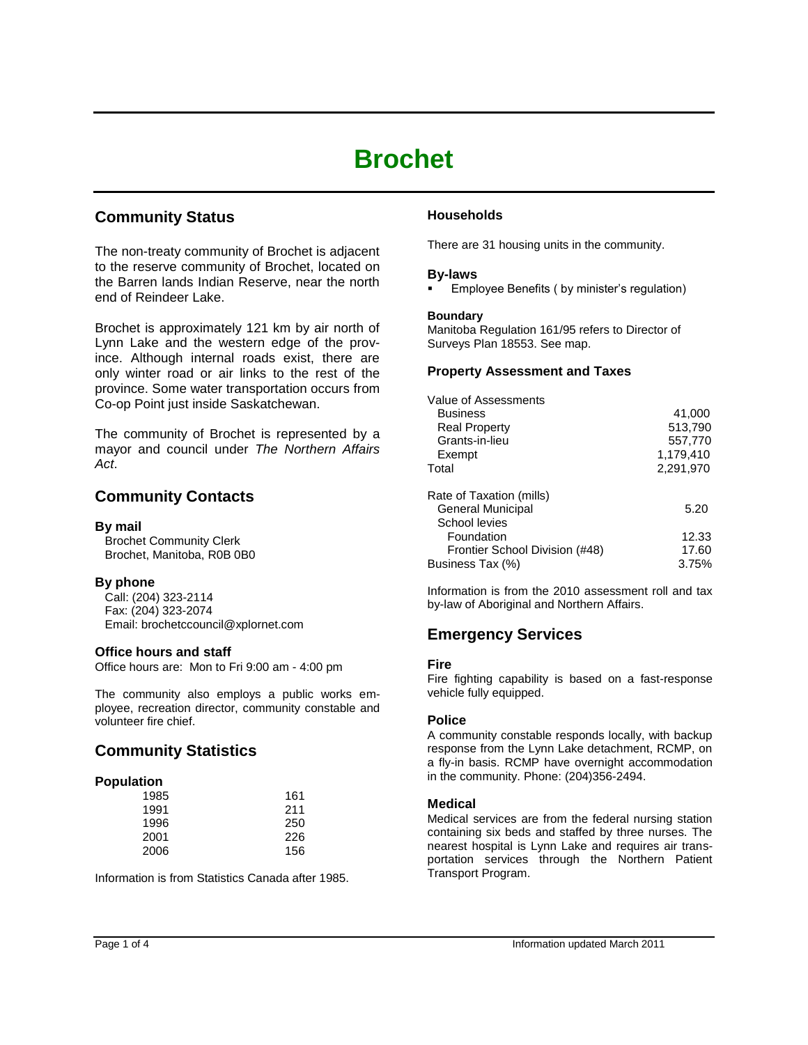# **Brochet**

# **Community Status**

The non-treaty community of Brochet is adjacent to the reserve community of Brochet, located on the Barren lands Indian Reserve, near the north end of Reindeer Lake.

Brochet is approximately 121 km by air north of Lynn Lake and the western edge of the province. Although internal roads exist, there are only winter road or air links to the rest of the province. Some water transportation occurs from Co-op Point just inside Saskatchewan.

The community of Brochet is represented by a mayor and council under *The Northern Affairs Act*.

# **Community Contacts**

# **By mail**

 Brochet Community Clerk Brochet, Manitoba, R0B 0B0

# **By phone**

 Call: (204) 323-2114 Fax: (204) 323-2074 Email: brochetccouncil@xplornet.com

# **Office hours and staff**

Office hours are: Mon to Fri 9:00 am - 4:00 pm

The community also employs a public works employee, recreation director, community constable and volunteer fire chief.

# **Community Statistics**

# **Population**

| 1985 | 161 |
|------|-----|
| 1991 | 211 |
| 1996 | 250 |
| 2001 | 226 |
| 2006 | 156 |

Information is from Statistics Canada after 1985.

# **Households**

There are 31 housing units in the community.

# **By-laws**

Employee Benefits ( by minister's regulation)

# **Boundary**

Manitoba Regulation 161/95 refers to Director of Surveys Plan 18553. See map.

# **Property Assessment and Taxes**

| Value of Assessments           |           |
|--------------------------------|-----------|
| Business                       | 41,000    |
| <b>Real Property</b>           | 513,790   |
| Grants-in-lieu                 | 557,770   |
| Exempt                         | 1,179,410 |
| Total                          | 2,291,970 |
| Rate of Taxation (mills)       |           |
| General Municipal              | 5.20      |
| School levies                  |           |
| Foundation                     | 12.33     |
| Frontier School Division (#48) | 17.60     |
| Business Tax (%)               | 3.75%     |

Information is from the 2010 assessment roll and tax by-law of Aboriginal and Northern Affairs.

# **Emergency Services**

# **Fire**

Fire fighting capability is based on a fast-response vehicle fully equipped.

# **Police**

A community constable responds locally, with backup response from the Lynn Lake detachment, RCMP, on a fly-in basis. RCMP have overnight accommodation in the community. Phone: (204)356-2494.

# **Medical**

Medical services are from the federal nursing station containing six beds and staffed by three nurses. The nearest hospital is Lynn Lake and requires air transportation services through the Northern Patient Transport Program.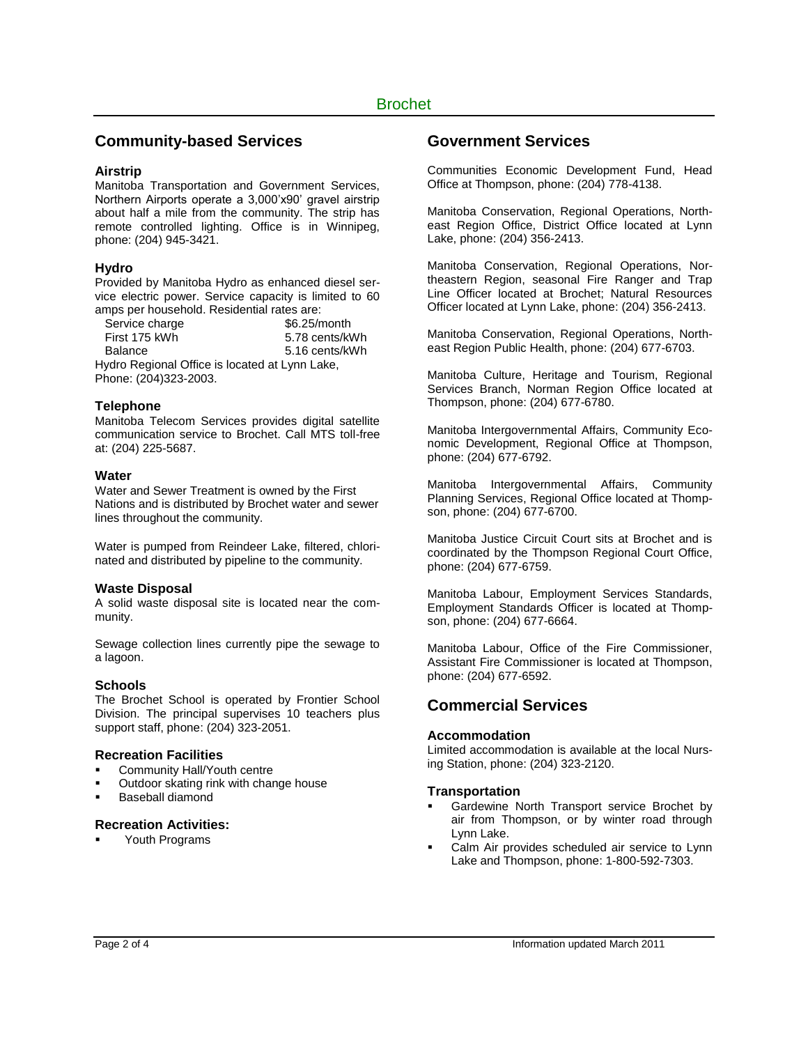# **Community-based Services**

#### **Airstrip**

Manitoba Transportation and Government Services, Northern Airports operate a 3,000'x90' gravel airstrip about half a mile from the community. The strip has remote controlled lighting. Office is in Winnipeg, phone: (204) 945-3421.

# **Hydro**

Provided by Manitoba Hydro as enhanced diesel service electric power. Service capacity is limited to 60 amps per household. Residential rates are:

| Service charge                                 | \$6.25/month   |  |
|------------------------------------------------|----------------|--|
| First 175 kWh                                  | 5.78 cents/kWh |  |
| Balance                                        | 5.16 cents/kWh |  |
| Hydro Regional Office is located at Lynn Lake, |                |  |
| Phone: (204)323-2003.                          |                |  |

#### **Telephone**

Manitoba Telecom Services provides digital satellite communication service to Brochet. Call MTS toll-free at: (204) 225-5687.

#### **Water**

Water and Sewer Treatment is owned by the First Nations and is distributed by Brochet water and sewer lines throughout the community.

Water is pumped from Reindeer Lake, filtered, chlorinated and distributed by pipeline to the community.

#### **Waste Disposal**

A solid waste disposal site is located near the community.

Sewage collection lines currently pipe the sewage to a lagoon.

# **Schools**

The Brochet School is operated by Frontier School Division. The principal supervises 10 teachers plus support staff, phone: (204) 323-2051.

#### **Recreation Facilities**

- Community Hall/Youth centre
- Outdoor skating rink with change house
- Baseball diamond

# **Recreation Activities:**

Youth Programs

# **Government Services**

Communities Economic Development Fund, Head Office at Thompson, phone: (204) 778-4138.

Manitoba Conservation, Regional Operations, Northeast Region Office, District Office located at Lynn Lake, phone: (204) 356-2413.

Manitoba Conservation, Regional Operations, Northeastern Region, seasonal Fire Ranger and Trap Line Officer located at Brochet; Natural Resources Officer located at Lynn Lake, phone: (204) 356-2413.

Manitoba Conservation, Regional Operations, Northeast Region Public Health, phone: (204) 677-6703.

Manitoba Culture, Heritage and Tourism, Regional Services Branch, Norman Region Office located at Thompson, phone: (204) 677-6780.

Manitoba Intergovernmental Affairs, Community Economic Development, Regional Office at Thompson, phone: (204) 677-6792.

Manitoba Intergovernmental Affairs, Community Planning Services, Regional Office located at Thompson, phone: (204) 677-6700.

Manitoba Justice Circuit Court sits at Brochet and is coordinated by the Thompson Regional Court Office, phone: (204) 677-6759.

Manitoba Labour, Employment Services Standards, Employment Standards Officer is located at Thompson, phone: (204) 677-6664.

Manitoba Labour, Office of the Fire Commissioner, Assistant Fire Commissioner is located at Thompson, phone: (204) 677-6592.

# **Commercial Services**

#### **Accommodation**

Limited accommodation is available at the local Nursing Station, phone: (204) 323-2120.

#### **Transportation**

- Gardewine North Transport service Brochet by air from Thompson, or by winter road through Lynn Lake.
- Calm Air provides scheduled air service to Lynn Lake and Thompson, phone: 1-800-592-7303.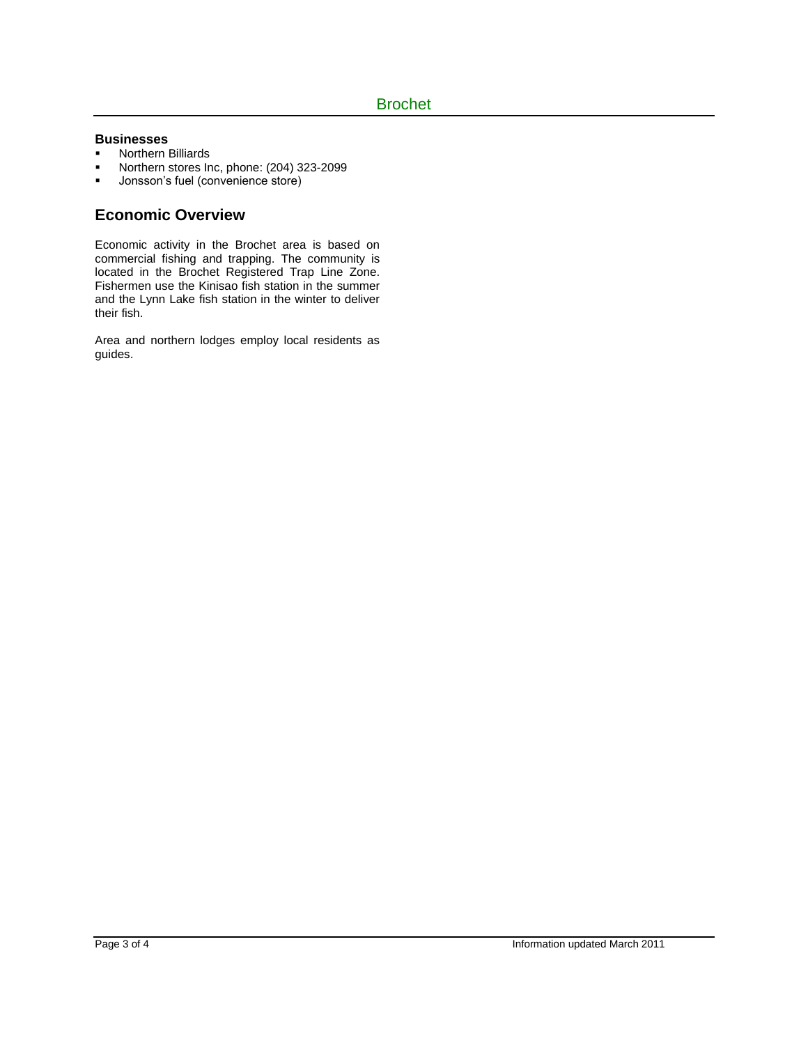### **Businesses**

- **Northern Billiards**
- Northern stores Inc, phone: (204) 323-2099
- **Jonsson's fuel (convenience store)**

# **Economic Overview**

Economic activity in the Brochet area is based on commercial fishing and trapping. The community is located in the Brochet Registered Trap Line Zone. Fishermen use the Kinisao fish station in the summer and the Lynn Lake fish station in the winter to deliver their fish.

Area and northern lodges employ local residents as guides.